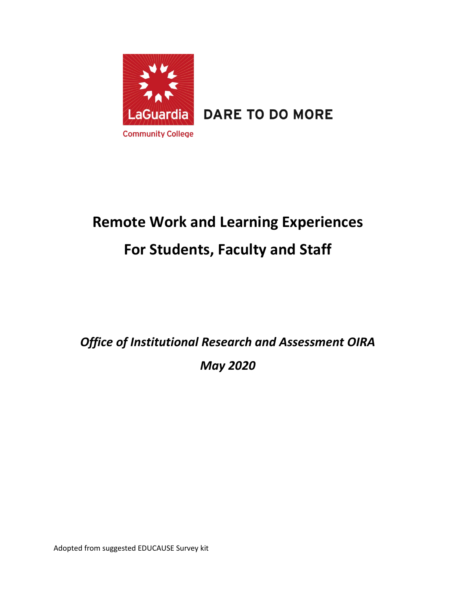

LaGuardia DARE TO DO MORE

# **Remote Work and Learning Experiences For Students, Faculty and Staff**

*Office of Institutional Research and Assessment OIRA May 2020*

Adopted from suggested EDUCAUSE Survey kit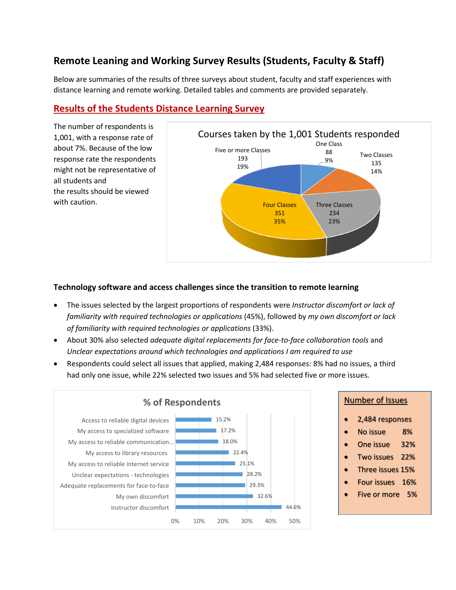# **Remote Leaning and Working Survey Results (Students, Faculty & Staff)**

Below are summaries of the results of three surveys about student, faculty and staff experiences with distance learning and remote working. Detailed tables and comments are provided separately.

# **Results of the Students Distance Learning Survey**

The number of respondents is 1,001, with a response rate of about 7%. Because of the low response rate the respondents might not be representative of all students and the results should be viewed with caution.



### **Technology software and access challenges since the transition to remote learning**

- The issues selected by the largest proportions of respondents were *Instructor discomfort or lack of familiarity with required technologies or applications* (45%), followed by *my own discomfort or lack of familiarity with required technologies or applications* (33%).
- About 30% also selected *adequate digital replacements for face-to-face collaboration tools* and *Unclear expectations around which technologies and applications I am required to use*
- Respondents could select all issues that applied, making 2,484 responses: 8% had no issues, a third had only one issue, while 22% selected two issues and 5% had selected five or more issues.



- 2,484 responses
- No issue 8%
- One issue 32%
- Two issues 22%
- Three issues 15%
- Four issues 16%
- Five or more 5%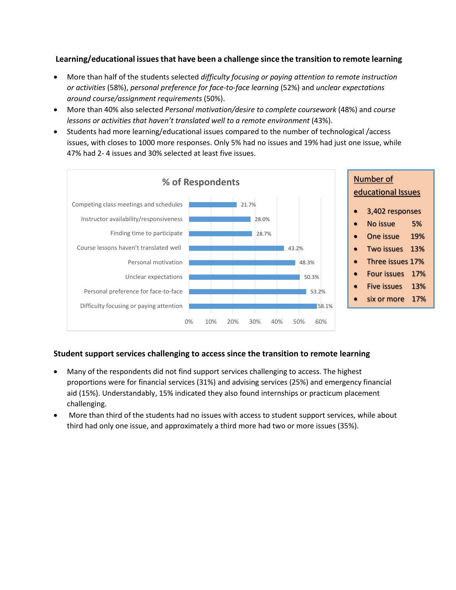### **Learning/educational issues that have been a challenge since the transition to remote learning**

- More than half of the students selected *difficulty focusing or paying attention to remote instruction or activities* (58%), *personal preference for face-to-face learning* (52%) and *unclear expectations around course/assignment requirements* (50%).
- More than 40% also selected *Personal motivation/desire to complete coursework* (48%) and *course lessons or activities that haven't translated well to a remote environment* (43%).
- Students had more learning/educational issues compared to the number of technological /access issues, with closes to 1000 more responses. Only 5% had no issues and 19% had just one issue, while 47% had 2- 4 issues and 30% selected at least five issues.



# **Student support services challenging to access since the transition to remote learning**

- Many of the respondents did not find support services challenging to access. The highest proportions were for financial services (31%) and advising services (25%) and emergency financial aid (15%). Understandably, 15% indicated they also found internships or practicum placement challenging.
- More than third of the students had no issues with access to student support services, while about third had only one issue, and approximately a third more had two or more issues (35%).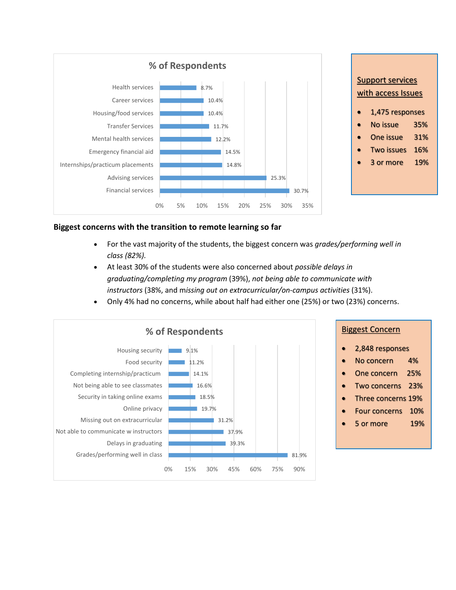

### **Biggest concerns with the transition to remote learning so far**

- For the vast majority of the students, the biggest concern was *grades/performing well in class (82%).*
- At least 30% of the students were also concerned about *possible delays in graduating/completing my program* (39%), *not being able to communicate with instructors* (38%, and m*issing out on extracurricular/on-campus activities* (31%).
- Only 4% had no concerns, while about half had either one (25%) or two (23%) concerns.

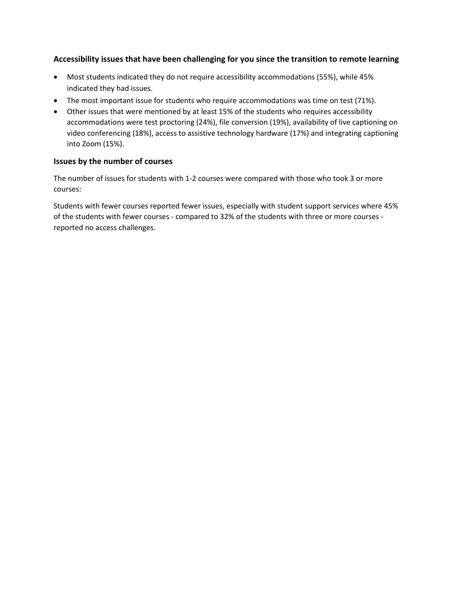# **Accessibility issues that have been challenging for you since the transition to remote learning**

- Most students indicated they do not require accessibility accommodations (55%), while 45% indicated they had issues.
- The most important issue for students who require accommodations was time on test (71%).
- Other issues that were mentioned by at least 15% of the students who requires accessibility accommodations were test proctoring (24%), file conversion (19%), availability of live captioning on video conferencing (18%), access to assistive technology hardware (17%) and integrating captioning into Zoom (15%).

### **Issues by the number of courses**

The number of issues for students with 1-2 courses were compared with those who took 3 or more courses:

Students with fewer courses reported fewer issues, especially with student support services where 45% of the students with fewer courses - compared to 32% of the students with three or more courses reported no access challenges.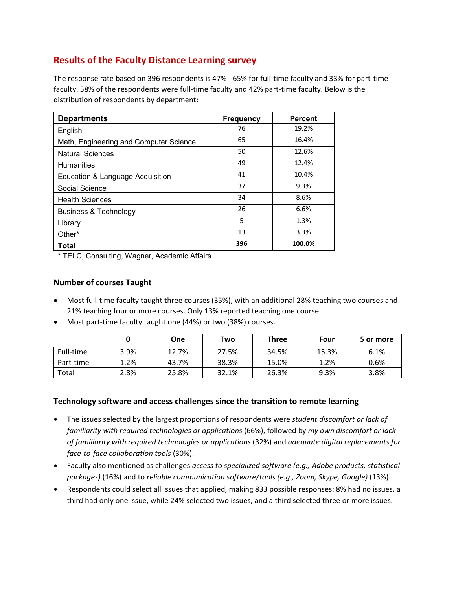# **Results of the Faculty Distance Learning survey**

The response rate based on 396 respondents is 47% - 65% for full-time faculty and 33% for part-time faculty. 58% of the respondents were full-time faculty and 42% part-time faculty. Below is the distribution of respondents by department:

| <b>Departments</b>                     | <b>Frequency</b> | <b>Percent</b> |
|----------------------------------------|------------------|----------------|
| English                                | 76               | 19.2%          |
| Math, Engineering and Computer Science | 65               | 16.4%          |
| <b>Natural Sciences</b>                | 50               | 12.6%          |
| <b>Humanities</b>                      | 49               | 12.4%          |
| Education & Language Acquisition       | 41               | 10.4%          |
| Social Science                         | 37               | 9.3%           |
| <b>Health Sciences</b>                 | 34               | 8.6%           |
| Business & Technology                  | 26               | 6.6%           |
| Library                                | 5                | 1.3%           |
| Other*                                 | 13               | 3.3%           |
| <b>Total</b>                           | 396              | 100.0%         |

\* TELC, Consulting, Wagner, Academic Affairs

# **Number of courses Taught**

- Most full-time faculty taught three courses (35%), with an additional 28% teaching two courses and 21% teaching four or more courses. Only 13% reported teaching one course.
- Most part-time faculty taught one (44%) or two (38%) courses.

|           |      | One   | Two   | <b>Three</b> | Four  | 5 or more |
|-----------|------|-------|-------|--------------|-------|-----------|
| Full-time | 3.9% | 12.7% | 27.5% | 34.5%        | 15.3% | 6.1%      |
| Part-time | 1.2% | 43.7% | 38.3% | 15.0%        | 1.2%  | 0.6%      |
| Total     | 2.8% | 25.8% | 32.1% | 26.3%        | 9.3%  | 3.8%      |

# **Technology software and access challenges since the transition to remote learning**

- The issues selected by the largest proportions of respondents were *student discomfort or lack of familiarity with required technologies or applications* (66%), followed by *my own discomfort or lack of familiarity with required technologies or applications* (32%) and *adequate digital replacements for face-to-face collaboration tools* (30%).
- Faculty also mentioned as challenges *access to specialized software (e.g., Adobe products, statistical packages)* (16%) and to *reliable communication software/tools (e.g., Zoom, Skype, Google)* (13%).
- Respondents could select all issues that applied, making 833 possible responses: 8% had no issues, a third had only one issue, while 24% selected two issues, and a third selected three or more issues.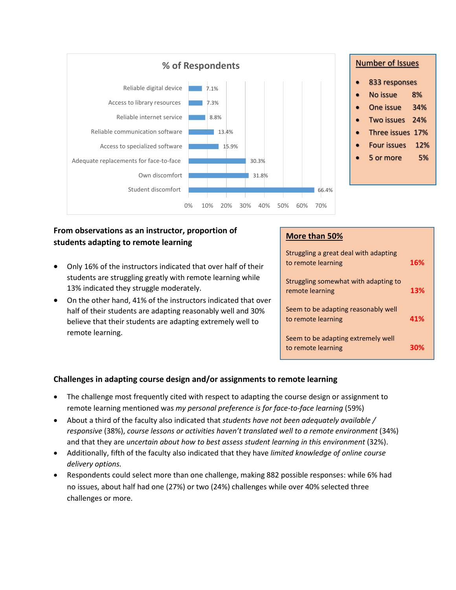

# **From observations as an instructor, proportion of students adapting to remote learning**

- Only 16% of the instructors indicated that over half of their students are struggling greatly with remote learning while 13% indicated they struggle moderately.
- On the other hand, 41% of the instructors indicated that over half of their students are adapting reasonably well and 30% believe that their students are adapting extremely well to remote learning.

# **More than 50%**

| Struggling a great deal with adapting<br>to remote learning | 16% |
|-------------------------------------------------------------|-----|
| Struggling somewhat with adapting to<br>remote learning     | 13% |
| Seem to be adapting reasonably well<br>to remote learning   | 41% |
| Seem to be adapting extremely well<br>to remote learning    |     |

# **Challenges in adapting course design and/or assignments to remote learning**

- The challenge most frequently cited with respect to adapting the course design or assignment to remote learning mentioned was *my personal preference is for face-to-face learning* (59%)
- About a third of the faculty also indicated that *students have not been adequately available / responsive* (38%), *course lessons or activities haven't translated well to a remote environment* (34%) and that they are *uncertain about how to best assess student learning in this environment* (32%).
- Additionally, fifth of the faculty also indicated that they have *limited knowledge of online course delivery options.*
- Respondents could select more than one challenge, making 882 possible responses: while 6% had no issues, about half had one (27%) or two (24%) challenges while over 40% selected three challenges or more.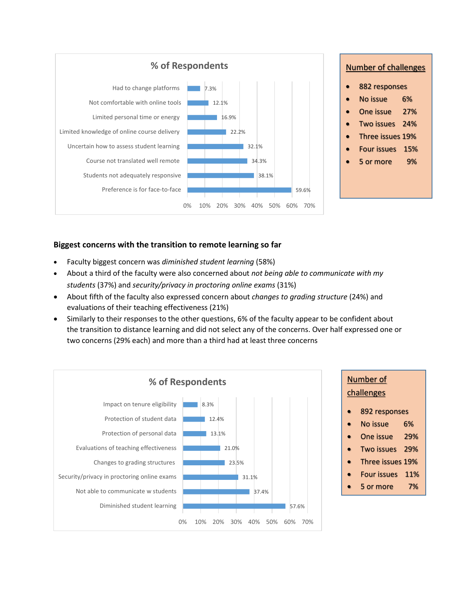

# **Biggest concerns with the transition to remote learning so far**

- Faculty biggest concern was *diminished student learning* (58%)
- About a third of the faculty were also concerned about *not being able to communicate with my students* (37%) and *security/privacy in proctoring online exams* (31%)
- About fifth of the faculty also expressed concern about *changes to grading structure* (24%) and evaluations of their teaching effectiveness (21%)
- Similarly to their responses to the other questions, 6% of the faculty appear to be confident about the transition to distance learning and did not select any of the concerns. Over half expressed one or two concerns (29% each) and more than a third had at least three concerns

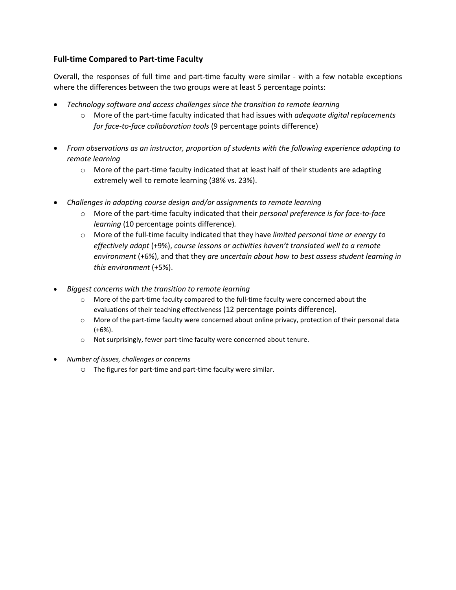# **Full-time Compared to Part-time Faculty**

Overall, the responses of full time and part-time faculty were similar - with a few notable exceptions where the differences between the two groups were at least 5 percentage points:

- *Technology software and access challenges since the transition to remote learning*
	- o More of the part-time faculty indicated that had issues with *adequate digital replacements for face-to-face collaboration tools* (9 percentage points difference)
- *From observations as an instructor, proportion of students with the following experience adapting to remote learning*
	- $\circ$  More of the part-time faculty indicated that at least half of their students are adapting extremely well to remote learning (38% vs. 23%).
- *Challenges in adapting course design and/or assignments to remote learning*
	- o More of the part-time faculty indicated that their *personal preference is for face-to-face learning* (10 percentage points difference)*.*
	- o More of the full-time faculty indicated that they have *limited personal time or energy to effectively adapt* (+9%), *course lessons or activities haven't translated well to a remote environment* (+6%), and that they *are uncertain about how to best assess student learning in this environment* (+5%).
- *Biggest concerns with the transition to remote learning*
	- o More of the part-time faculty compared to the full-time faculty were concerned about the evaluations of their teaching effectiveness (12 percentage points difference).
	- o More of the part-time faculty were concerned about online privacy, protection of their personal data  $(+6%)$ .
	- o Not surprisingly, fewer part-time faculty were concerned about tenure.
- *Number of issues, challenges or concerns*
	- o The figures for part-time and part-time faculty were similar.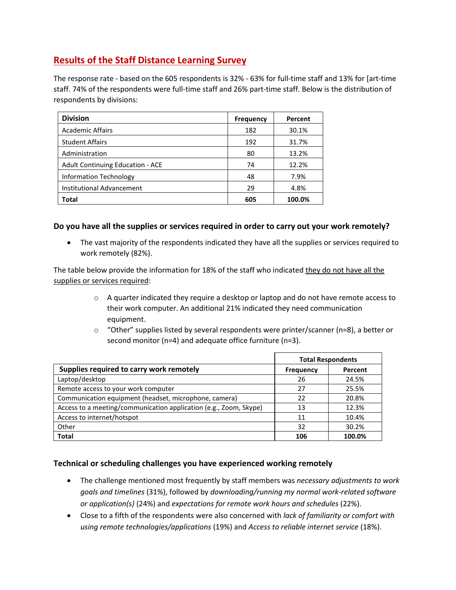# **Results of the Staff Distance Learning Survey**

The response rate - based on the 605 respondents is 32% - 63% for full-time staff and 13% for [art-time staff. 74% of the respondents were full-time staff and 26% part-time staff. Below is the distribution of respondents by divisions:

| <b>Division</b>                         | <b>Frequency</b> | Percent |
|-----------------------------------------|------------------|---------|
| <b>Academic Affairs</b>                 | 182              | 30.1%   |
| <b>Student Affairs</b>                  | 192              | 31.7%   |
| Administration                          | 80               | 13.2%   |
| <b>Adult Continuing Education - ACE</b> | 74               | 12.2%   |
| <b>Information Technology</b>           | 48               | 7.9%    |
| Institutional Advancement               | 29               | 4.8%    |
| Total                                   | 605              | 100.0%  |

### **Do you have all the supplies or services required in order to carry out your work remotely?**

• The vast majority of the respondents indicated they have all the supplies or services required to work remotely (82%).

The table below provide the information for 18% of the staff who indicated they do not have all the supplies or services required:

- o A quarter indicated they require a desktop or laptop and do not have remote access to their work computer. An additional 21% indicated they need communication equipment.
- $\circ$  "Other" supplies listed by several respondents were printer/scanner (n=8), a better or second monitor (n=4) and adequate office furniture (n=3).

|                                                                   | <b>Total Respondents</b> |         |
|-------------------------------------------------------------------|--------------------------|---------|
| Supplies required to carry work remotely                          | <b>Frequency</b>         | Percent |
| Laptop/desktop                                                    | 26                       | 24.5%   |
| Remote access to your work computer                               | 27                       | 25.5%   |
| Communication equipment (headset, microphone, camera)             | 22                       | 20.8%   |
| Access to a meeting/communication application (e.g., Zoom, Skype) | 13                       | 12.3%   |
| Access to internet/hotspot                                        | 11                       | 10.4%   |
| Other                                                             | 32                       | 30.2%   |
| <b>Total</b>                                                      | 106                      | 100.0%  |

# **Technical or scheduling challenges you have experienced working remotely**

- The challenge mentioned most frequently by staff members was *necessary adjustments to work goals and timelines* (31%), followed by *downloading/running my normal work-related software or application(s)* (24%) and *expectations for remote work hours and schedules* (22%).
- Close to a fifth of the respondents were also concerned with *lack of familiarity or comfort with using remote technologies/applications* (19%) and *Access to reliable internet service* (18%).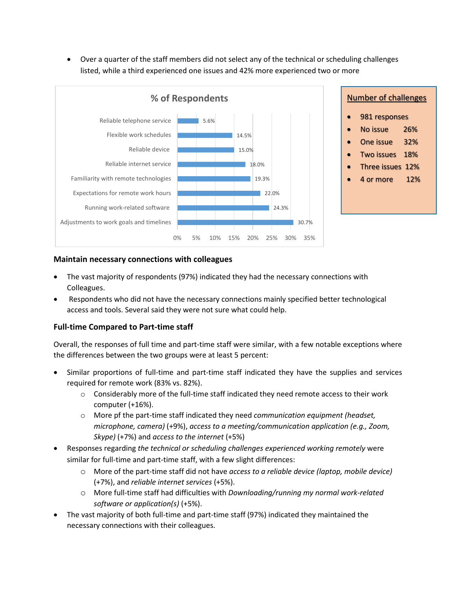• Over a quarter of the staff members did not select any of the technical or scheduling challenges listed, while a third experienced one issues and 42% more experienced two or more



# • 981 responses No issue 26% • One issue 32% • Two issues 18% • Three issues 12% • 4 or more 12%

#### **Maintain necessary connections with colleagues**

- The vast majority of respondents (97%) indicated they had the necessary connections with Colleagues.
- Respondents who did not have the necessary connections mainly specified better technological access and tools. Several said they were not sure what could help.

# **Full-time Compared to Part-time staff**

Overall, the responses of full time and part-time staff were similar, with a few notable exceptions where the differences between the two groups were at least 5 percent:

- Similar proportions of full-time and part-time staff indicated they have the supplies and services required for remote work (83% vs. 82%).
	- $\circ$  Considerably more of the full-time staff indicated they need remote access to their work computer (+16%).
	- o More pf the part-time staff indicated they need *communication equipment (headset, microphone, camera)* (+9%), *access to a meeting/communication application (e.g., Zoom, Skype)* (+7%) and *access to the internet* (+5%)
- Responses regarding *the technical or scheduling challenges experienced working remotely* were similar for full-time and part-time staff, with a few slight differences:
	- o More of the part-time staff did not have *access to a reliable device (laptop, mobile device)* (+7%), and *reliable internet services* (+5%).
	- o More full-time staff had difficulties with *Downloading/running my normal work-related software or application(s)* (+5%).
- The vast majority of both full-time and part-time staff (97%) indicated they maintained the necessary connections with their colleagues.